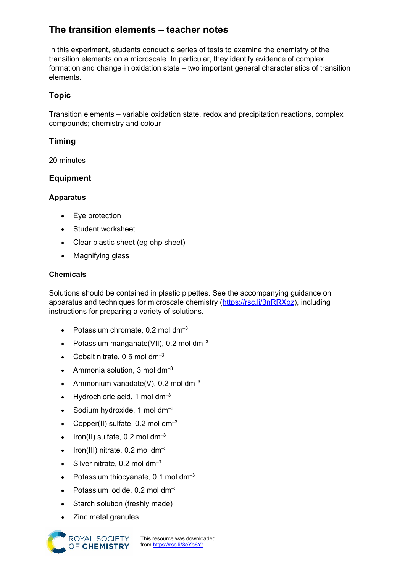# **The transition elements – teacher notes**

In this experiment, students conduct a series of tests to examine the chemistry of the transition elements on a microscale. In particular, they identify evidence of complex formation and change in oxidation state – two important general characteristics of transition elements.

# **Topic**

Transition elements – variable oxidation state, redox and precipitation reactions, complex compounds; chemistry and colour

# **Timing**

20 minutes

# **Equipment**

## **Apparatus**

- Eye protection
- Student worksheet
- Clear plastic sheet (eg ohp sheet)
- Magnifying glass

#### **Chemicals**

Solutions should be contained in plastic pipettes. See the accompanying guidance on apparatus and techniques for microscale chemistry [\(https://rsc.li/3nRRXpz\)](https://rsc.li/3nRRXpz), including instructions for preparing a variety of solutions.

- Potassium chromate,  $0.2$  mol dm<sup>-3</sup>
- Potassium manganate(VII), 0.2 mol dm<sup>-3</sup>
- Cobalt nitrate,  $0.5$  mol dm<sup>-3</sup>
- Ammonia solution, 3 mol  $\rm{dm^{-3}}$
- Ammonium vanadate(V), 0.2 mol dm<sup>-3</sup>
- Hydrochloric acid, 1 mol  $dm^{-3}$
- Sodium hydroxide, 1 mol  $dm^{-3}$
- Copper(II) sulfate,  $0.2$  mol dm<sup>-3</sup>
- Iron(II) sulfate,  $0.2$  mol dm<sup>-3</sup>
- Iron(III) nitrate,  $0.2$  mol dm<sup>-3</sup>
- Silver nitrate,  $0.2$  mol dm<sup>-3</sup>
- Potassium thiocyanate,  $0.1$  mol dm<sup>-3</sup>
- Potassium iodide,  $0.2$  mol dm<sup>-3</sup>
- Starch solution (freshly made)
- Zinc metal granules



This resource was downloaded from <https://rsc.li/3eYo6Yr>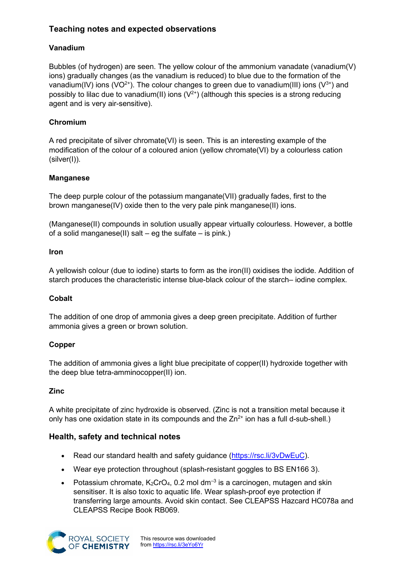# **Teaching notes and expected observations**

# **Vanadium**

Bubbles (of hydrogen) are seen. The yellow colour of the ammonium vanadate (vanadium(V) ions) gradually changes (as the vanadium is reduced) to blue due to the formation of the vanadium(IV) ions (VO<sup>2+</sup>). The colour changes to green due to vanadium(III) ions (V<sup>3+</sup>) and possibly to lilac due to vanadium(II) ions  $(V^{2+})$  (although this species is a strong reducing agent and is very air-sensitive).

#### **Chromium**

A red precipitate of silver chromate(VI) is seen. This is an interesting example of the modification of the colour of a coloured anion (yellow chromate(VI) by a colourless cation (silver(I)).

#### **Manganese**

The deep purple colour of the potassium manganate(VII) gradually fades, first to the brown manganese(IV) oxide then to the very pale pink manganese(II) ions.

(Manganese(II) compounds in solution usually appear virtually colourless. However, a bottle of a solid manganese(II) salt – eg the sulfate – is pink.)

#### **Iron**

A yellowish colour (due to iodine) starts to form as the iron(II) oxidises the iodide. Addition of starch produces the characteristic intense blue-black colour of the starch– iodine complex.

#### **Cobalt**

The addition of one drop of ammonia gives a deep green precipitate. Addition of further ammonia gives a green or brown solution.

## **Copper**

The addition of ammonia gives a light blue precipitate of copper(II) hydroxide together with the deep blue tetra-amminocopper(II) ion.

#### **Zinc**

A white precipitate of zinc hydroxide is observed. (Zinc is not a transition metal because it only has one oxidation state in its compounds and the  $Zn^{2+}$  ion has a full d-sub-shell.)

## **Health, safety and technical notes**

- Read our standard health and safety guidance [\(https://rsc.li/3vDwEuC\)](https://rsc.li/3vDwEuC).
- Wear eye protection throughout (splash-resistant goggles to BS EN166 3).
- Potassium chromate,  $K_2$ CrO<sub>4</sub>, 0.2 mol dm<sup>-3</sup> is a carcinogen, mutagen and skin sensitiser. It is also toxic to aquatic life. Wear splash-proof eye protection if transferring large amounts. Avoid skin contact. See CLEAPSS Hazcard HC078a and CLEAPSS Recipe Book RB069.